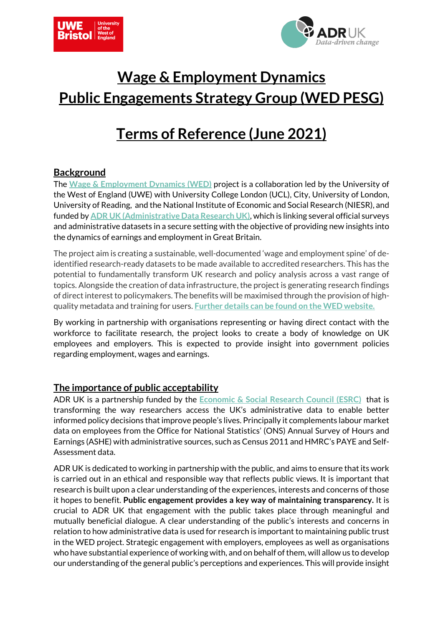



# **Wage & Employment Dynamics Public Engagements Strategy Group (WED PESG)**

# **Terms of Reference (June 2021)**

## **Background**

The **[Wage & Employment Dynamics](https://www.adruk.org/our-work/browse-all-projects/wage-and-employment-dynamics-in-britain-143/) (WED)** project is a collaboration led by the University of the West of England (UWE) with University College London (UCL), City, University of London, University of Reading, and the National Institute of Economic and Social Research (NIESR), and funded by **ADR UK [\(Administrative Data Research UK\)](https://www.adruk.org/)**, which is linking several official surveys and administrative datasets in a secure setting with the objective of providing new insights into the dynamics of earnings and employment in Great Britain.

The project aim is creating a sustainable, well-documented 'wage and employment spine' of deidentified research-ready datasets to be made available to accredited researchers. This has the potential to fundamentally transform UK research and policy analysis across a vast range of topics. Alongside the creation of data infrastructure, the project is generating research findings of direct interest to policymakers. The benefits will be maximised through the provision of highquality metadata and training for users. **[Further details can be found on the WED website.](https://www.wagedynamics.com/)**

By working in partnership with organisations representing or having direct contact with the workforce to facilitate research, the project looks to create a body of knowledge on UK employees and employers. This is expected to provide insight into government policies regarding employment, wages and earnings.

# **The importance of public acceptability**

ADR UK is a partnership funded by the **[Economic & Social Research Council \(ESRC\)](https://esrc.ukri.org/)** that is transforming the way researchers access the UK's administrative data to enable better informed policy decisions that improve people's lives. Principally it complements labour market data on employees from the Office for National Statistics' (ONS) Annual Survey of Hours and Earnings (ASHE) with administrative sources, such as Census 2011 and HMRC's PAYE and Self-Assessment data.

ADR UK is dedicated to working in partnership with the public, and aims to ensure that its work is carried out in an ethical and responsible way that reflects public views. It is important that research is built upon a clear understanding of the experiences, interests and concerns of those it hopes to benefit. **Public engagement provides a key way of maintaining transparency.** It is crucial to ADR UK that engagement with the public takes place through meaningful and mutually beneficial dialogue. A clear understanding of the public's interests and concerns in relation to how administrative data is used for research is important to maintaining public trust in the WED project. Strategic engagement with employers, employees as well as organisations who have substantial experience of working with, and on behalf of them, will allow us to develop our understanding of the general public's perceptions and experiences. This will provide insight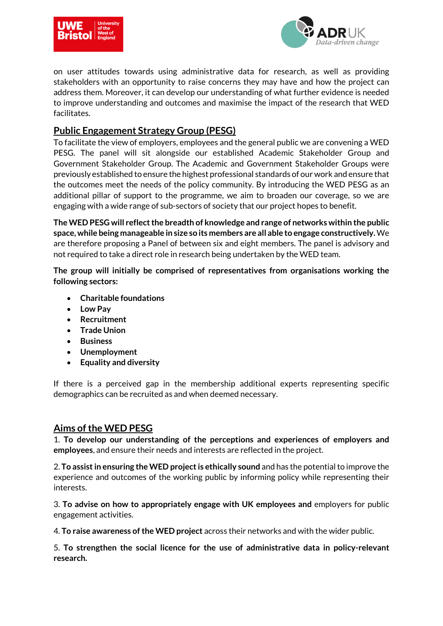



on user attitudes towards using administrative data for research, as well as providing stakeholders with an opportunity to raise concerns they may have and how the project can address them. Moreover, it can develop our understanding of what further evidence is needed to improve understanding and outcomes and maximise the impact of the research that WED facilitates.

# **Public Engagement Strategy Group (PESG)**

To facilitate the view of employers, employees and the general public we are convening a WED PESG. The panel will sit alongside our established Academic Stakeholder Group and Government Stakeholder Group. The Academic and Government Stakeholder Groups were previously established to ensure the highest professional standards of our work and ensure that the outcomes meet the needs of the policy community. By introducing the WED PESG as an additional pillar of support to the programme, we aim to broaden our coverage, so we are engaging with a wide range of sub-sectors of society that our project hopes to benefit.

**The WED PESG will reflect the breadth of knowledge and range of networks within the public space, while being manageable in size so its members are all able to engage constructively.**We are therefore proposing a Panel of between six and eight members. The panel is advisory and not required to take a direct role in research being undertaken by the WED team.

**The group will initially be comprised of representatives from organisations working the following sectors:** 

- **Charitable foundations**
- **Low Pay**
- **Recruitment**
- **Trade Union**
- **Business**
- **Unemployment**
- **Equality and diversity**

If there is a perceived gap in the membership additional experts representing specific demographics can be recruited as and when deemed necessary.

#### **Aims of the WED PESG**

1. **To develop our understanding of the perceptions and experiences of employers and employees**, and ensure their needs and interests are reflected in the project.

2. **To assist in ensuring the WED project is ethically sound** and has the potential to improve the experience and outcomes of the working public by informing policy while representing their interests.

3. **To advise on how to appropriately engage with UK employees and** employers for public engagement activities.

4. **To raise awareness of the WED project** across their networks and with the wider public.

5. **To strengthen the social licence for the use of administrative data in policy-relevant research.**